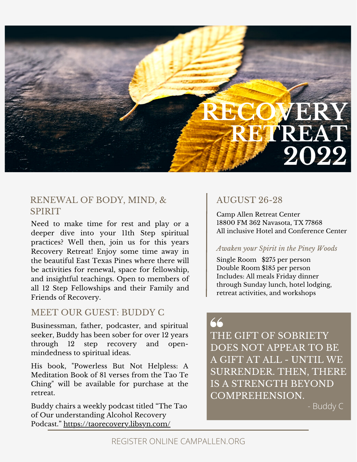

### RENEWAL OF BODY, MIND, & SPIRIT

Need to make time for rest and play or a deeper dive into your 11th Step spiritual practices? Well then, join us for this years Recovery Retreat! Enjoy some time away in the beautiful East Texas Pines where there will be activities for renewal, space for fellowship, and insightful teachings. Open to members of all 12 Step Fellowships and their Family and Friends of Recovery.

### MEET OUR GUEST: BUDDY C

Businessman, father, podcaster, and spiritual seeker, Buddy has been sober for over 12 years through 12 step recovery and open mindedness to spiritual ideas.

His book, "Powerless But Not Helpless: A Meditation Book of 81 verses from the Tao Te Ching" will be available for purchase at the retreat.

Buddy chairs a weekly podcast titled "The Tao of Our understanding Alcohol Recovery Podcast." <https://taorecovery.libsyn.com/>

## AUGUST 26-28

Camp Allen Retreat Center 18800 FM 362 Navasota, TX 77868 All inclusive Hotel and Conference Center

#### *Awaken your Spirit in the Piney Woods*

Single Room \$275 per person Double Room \$185 per person Includes: All meals Friday dinner through Sunday lunch, hotel lodging, retreat activities, and workshops

# 66

THE GIFT OF SOBRIETY DOES NOT APPEAR TO BE A GIFT AT ALL - UNTIL WE SURRENDER. THEN, THERE IS A STRENGTH BEYOND COMPREHENSION.

- Buddy C